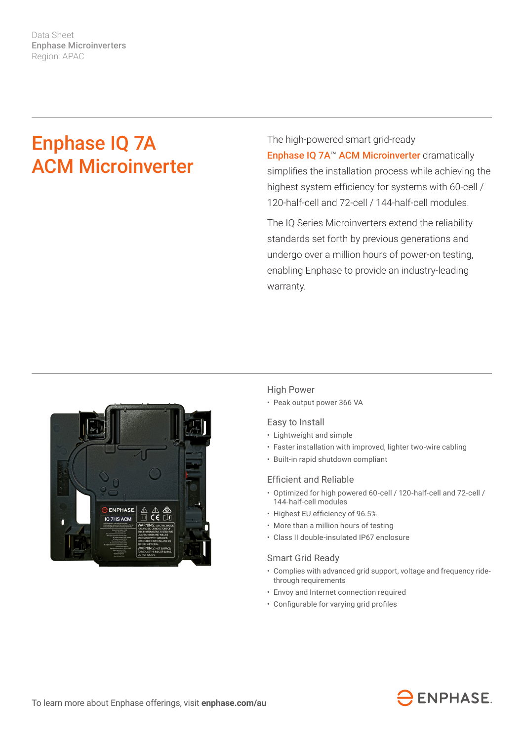Data Sheet Enphase Microinverters Region: APAC

# Enphase IQ 7A ACM Microinverter

The high-powered smart grid-ready Enphase IQ 7A™ ACM Microinverter dramatically simplifies the installation process while achieving the highest system efficiency for systems with 60-cell / 120-half-cell and 72-cell / 144-half-cell modules.

The IQ Series Microinverters extend the reliability standards set forth by previous generations and undergo over a million hours of power-on testing, enabling Enphase to provide an industry-leading warranty.



### High Power

• Peak output power 366 VA

### Easy to Install

- Lightweight and simple
- Faster installation with improved, lighter two-wire cabling
- Built-in rapid shutdown compliant

#### Efficient and Reliable

- Optimized for high powered 60-cell / 120-half-cell and 72-cell / 144-half-cell modules
- Highest EU efficiency of 96.5%
- More than a million hours of testing
- Class II double-insulated IP67 enclosure

#### Smart Grid Ready

- Complies with advanced grid support, voltage and frequency ridethrough requirements
- Envoy and Internet connection required
- Configurable for varying grid profiles